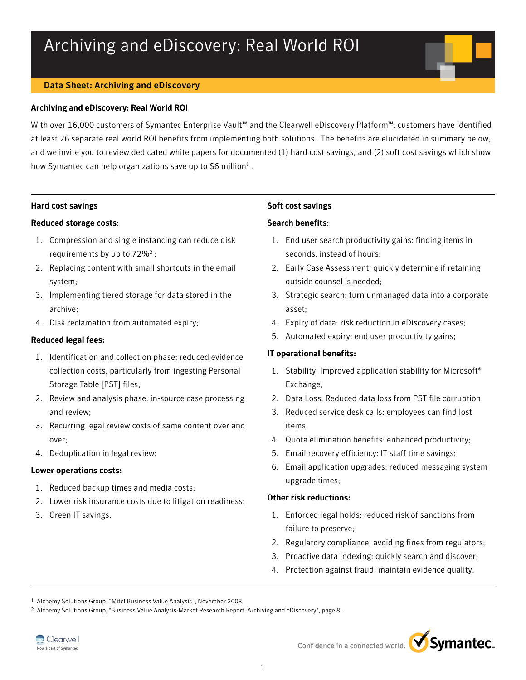# Archiving and eDiscovery: Real World ROI

# Data Sheet: Archiving and eDiscovery

# Archiving and eDiscovery: Real World ROI

With over 16,000 customers of Symantec Enterprise Vault™ and the Clearwell eDiscovery Platform™, customers have identified at least 26 separate real world ROI benefits from implementing both solutions. The benefits are elucidated in summary below, and we invite you to review dedicated white papers for documented (1) hard cost savings, and (2) soft cost savings which show how Symantec can help organizations save up to \$6 million<sup>1</sup>.

# Hard cost savings

# Reduced storage costs:

- 1. Compression and single instancing can reduce disk requirements by up to  $72\%^2$ ;
- 2. Replacing content with small shortcuts in the email system;
- 3. Implementing tiered storage for data stored in the archive;
- 4. Disk reclamation from automated expiry;

# Reduced legal fees:

- 1. Identification and collection phase: reduced evidence collection costs, particularly from ingesting Personal Storage Table [PST] files;
- 2. Review and analysis phase: in-source case processing and review;
- 3. Recurring legal review costs of same content over and over;
- 4. Deduplication in legal review;

# Lower operations costs:

- 1. Reduced backup times and media costs;
- 2. Lower risk insurance costs due to litigation readiness;
- 3. Green IT savings.

# Soft cost savings

# Search benefits:

- 1. End user search productivity gains: finding items in seconds, instead of hours;
- 2. Early Case Assessment: quickly determine if retaining outside counsel is needed;
- 3. Strategic search: turn unmanaged data into a corporate asset;
- 4. Expiry of data: risk reduction in eDiscovery cases;
- 5. Automated expiry: end user productivity gains;

# IT operational benefits:

- 1. Stability: Improved application stability for Microsoft® Exchange;
- 2. Data Loss: Reduced data loss from PST file corruption;
- 3. Reduced service desk calls: employees can find lost items;
- 4. Quota elimination benefits: enhanced productivity;
- 5. Email recovery efficiency: IT staff time savings;
- 6. Email application upgrades: reduced messaging system upgrade times;

# Other risk reductions:

- 1. Enforced legal holds: reduced risk of sanctions from failure to preserve;
- 2. Regulatory compliance: avoiding fines from regulators;
- 3. Proactive data indexing: quickly search and discover;
- 4. Protection against fraud: maintain evidence quality.

2. Alchemy Solutions Group, "Business Value Analysis-Market Research Report: Archiving and eDiscovery", page 8.





<sup>1.</sup> Alchemy Solutions Group, "Mitel Business Value Analysis", November 2008.